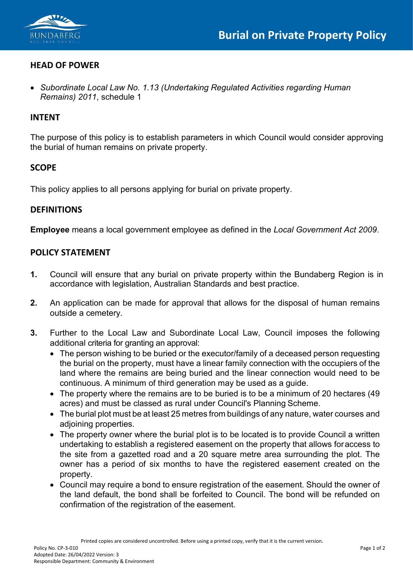

### **HEAD OF POWER**

• *Subordinate Local Law No. 1.13 (Undertaking Regulated Activities regarding Human Remains) 2011*, schedule 1

#### **INTENT**

The purpose of this policy is to establish parameters in which Council would consider approving the burial of human remains on private property.

#### **SCOPE**

This policy applies to all persons applying for burial on private property.

#### **DEFINITIONS**

**Employee** means a local government employee as defined in the *Local Government Act 2009*.

#### **POLICY STATEMENT**

- **1.** Council will ensure that any burial on private property within the Bundaberg Region is in accordance with legislation, Australian Standards and best practice.
- **2.** An application can be made for approval that allows for the disposal of human remains outside a cemetery.
- **3.** Further to the Local Law and Subordinate Local Law, Council imposes the following additional criteria for granting an approval:
	- The person wishing to be buried or the executor/family of a deceased person requesting the burial on the property, must have a linear family connection with the occupiers of the land where the remains are being buried and the linear connection would need to be continuous. A minimum of third generation may be used as a guide.
	- The property where the remains are to be buried is to be a minimum of 20 hectares (49 acres) and must be classed as rural under Council's Planning Scheme.
	- The burial plot must be at least 25 metres from buildings of any nature, water courses and adjoining properties.
	- The property owner where the burial plot is to be located is to provide Council a written undertaking to establish a registered easement on the property that allows foraccess to the site from a gazetted road and a 20 square metre area surrounding the plot. The owner has a period of six months to have the registered easement created on the property.
	- Council may require a bond to ensure registration of the easement. Should the owner of the land default, the bond shall be forfeited to Council. The bond will be refunded on confirmation of the registration of the easement.

Printed copies are considered uncontrolled. Before using a printed copy, verify that it is the current version.